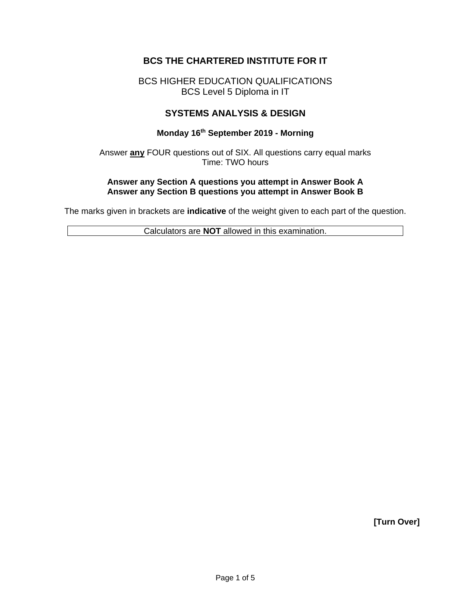# **BCS THE CHARTERED INSTITUTE FOR IT**

# BCS HIGHER EDUCATION QUALIFICATIONS BCS Level 5 Diploma in IT

## **SYSTEMS ANALYSIS & DESIGN**

#### **Monday 16th September 2019 - Morning**

Answer **any** FOUR questions out of SIX. All questions carry equal marks Time: TWO hours

#### **Answer any Section A questions you attempt in Answer Book A Answer any Section B questions you attempt in Answer Book B**

The marks given in brackets are **indicative** of the weight given to each part of the question.

Calculators are **NOT** allowed in this examination.

**[Turn Over]**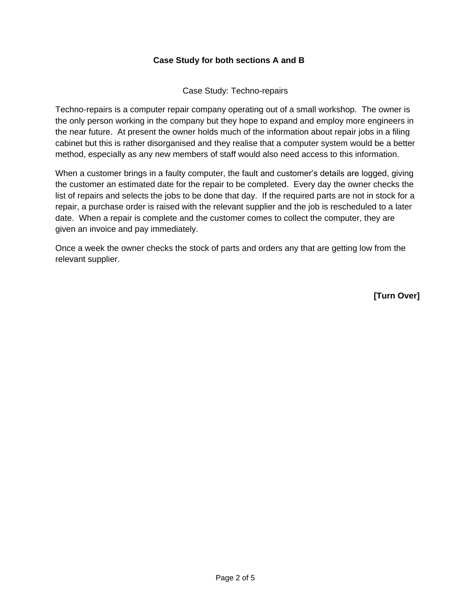#### **Case Study for both sections A and B**

#### Case Study: Techno-repairs

Techno-repairs is a computer repair company operating out of a small workshop. The owner is the only person working in the company but they hope to expand and employ more engineers in the near future. At present the owner holds much of the information about repair jobs in a filing cabinet but this is rather disorganised and they realise that a computer system would be a better method, especially as any new members of staff would also need access to this information.

When a customer brings in a faulty computer, the fault and customer's details are logged, giving the customer an estimated date for the repair to be completed. Every day the owner checks the list of repairs and selects the jobs to be done that day. If the required parts are not in stock for a repair, a purchase order is raised with the relevant supplier and the job is rescheduled to a later date. When a repair is complete and the customer comes to collect the computer, they are given an invoice and pay immediately.

Once a week the owner checks the stock of parts and orders any that are getting low from the relevant supplier.

**[Turn Over]**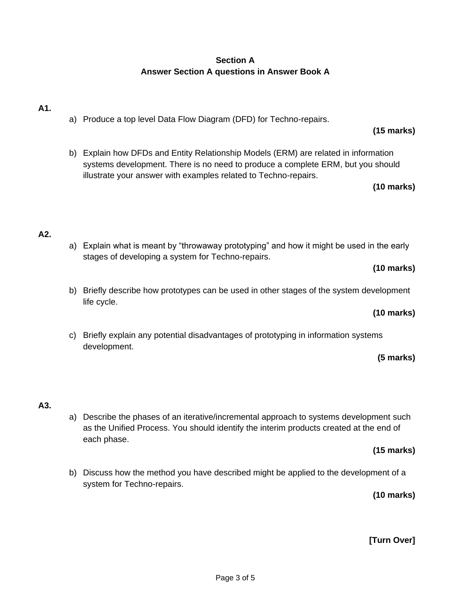# **Section A Answer Section A questions in Answer Book A**

# **A1.**

- a) Produce a top level Data Flow Diagram (DFD) for Techno-repairs.
- b) Explain how DFDs and Entity Relationship Models (ERM) are related in information systems development. There is no need to produce a complete ERM, but you should illustrate your answer with examples related to Techno-repairs.

**(10 marks)**

**(15 marks)**

# **A2.**

a) Explain what is meant by "throwaway prototyping" and how it might be used in the early stages of developing a system for Techno-repairs.

## **(10 marks)**

b) Briefly describe how prototypes can be used in other stages of the system development life cycle.

# **(10 marks)**

c) Briefly explain any potential disadvantages of prototyping in information systems development.

# **(5 marks)**

# **A3.**

a) Describe the phases of an iterative/incremental approach to systems development such as the Unified Process. You should identify the interim products created at the end of each phase.

# **(15 marks)**

b) Discuss how the method you have described might be applied to the development of a system for Techno-repairs.

**(10 marks)**

**[Turn Over]**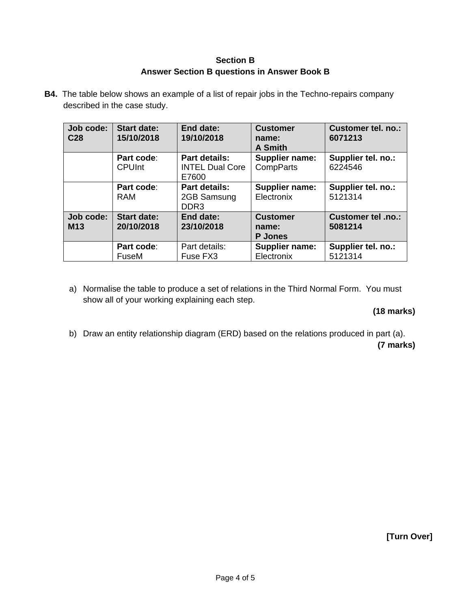## **Section B Answer Section B questions in Answer Book B**

**B4.** The table below shows an example of a list of repair jobs in the Techno-repairs company described in the case study.

| Job code:<br>C <sub>28</sub> | <b>Start date:</b><br>15/10/2018 | End date:<br>19/10/2018                                 | <b>Customer</b><br>name:<br>A Smith        | Customer tel. no.:<br>6071213 |
|------------------------------|----------------------------------|---------------------------------------------------------|--------------------------------------------|-------------------------------|
|                              | Part code:<br><b>CPUInt</b>      | <b>Part details:</b><br><b>INTEL Dual Core</b><br>E7600 | <b>Supplier name:</b><br>CompParts         | Supplier tel. no.:<br>6224546 |
|                              | Part code:<br>RAM                | <b>Part details:</b><br>2GB Samsung<br>DDR <sub>3</sub> | Supplier name:<br>Electronix               | Supplier tel. no.:<br>5121314 |
| Job code:<br><b>M13</b>      | <b>Start date:</b><br>20/10/2018 | End date:<br>23/10/2018                                 | <b>Customer</b><br>name:<br><b>P</b> Jones | Customer tel .no.:<br>5081214 |
|                              | Part code:<br>FuseM              | Part details:<br>Fuse FX3                               | Supplier name:<br>Electronix               | Supplier tel. no.:<br>5121314 |

a) Normalise the table to produce a set of relations in the Third Normal Form. You must show all of your working explaining each step.

# **(18 marks)**

b) Draw an entity relationship diagram (ERD) based on the relations produced in part (a). **(7 marks)**